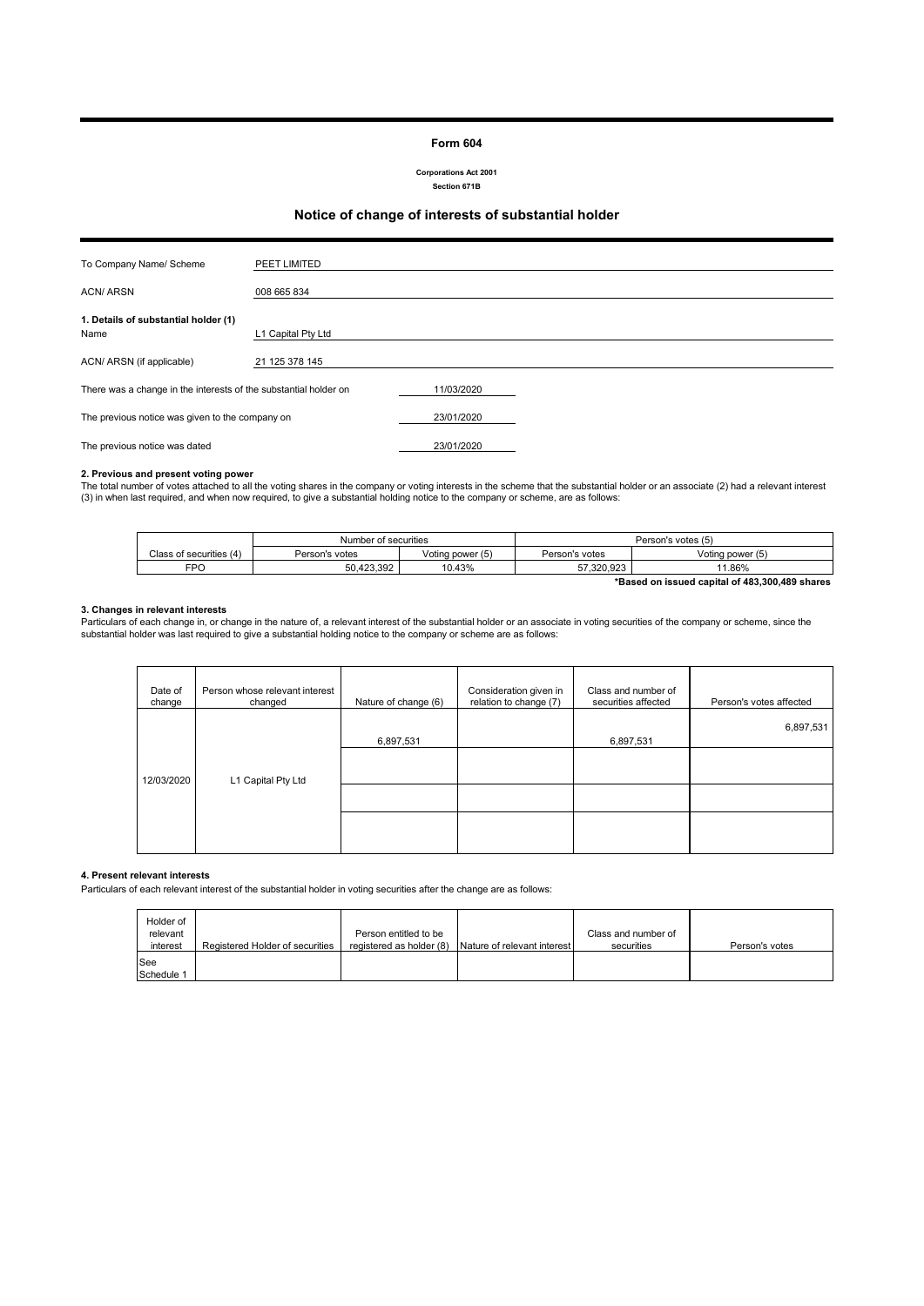#### **Form 604**

**Corporations Act 2001 Section 671B**

### **Notice of change of interests of substantial holder**

| To Company Name/ Scheme                                          | PEET LIMITED       |            |  |
|------------------------------------------------------------------|--------------------|------------|--|
| <b>ACN/ARSN</b>                                                  | 008 665 834        |            |  |
|                                                                  |                    |            |  |
| 1. Details of substantial holder (1)                             |                    |            |  |
| Name                                                             | L1 Capital Pty Ltd |            |  |
|                                                                  |                    |            |  |
| ACN/ ARSN (if applicable)                                        | 21 125 378 145     |            |  |
|                                                                  |                    |            |  |
| There was a change in the interests of the substantial holder on |                    | 11/03/2020 |  |
|                                                                  |                    |            |  |
| The previous notice was given to the company on                  |                    | 23/01/2020 |  |
|                                                                  |                    |            |  |
| The previous notice was dated                                    |                    | 23/01/2020 |  |

#### **2. Previous and present voting power**

The total number of votes attached to all the voting shares in the company or voting interests in the scheme that the substantial holder or an associate (2) had a relevant interest<br>(3) in when last required, and when now r

|                                                | Number of securities |                  | Person's votes (5) |                  |
|------------------------------------------------|----------------------|------------------|--------------------|------------------|
| Class of securities (4)                        | Person's votes       | Voting power (5) | Person's votes     | Voting power (5) |
| FPO                                            | 50.423.392           | 10.43%           | 57.320.923         | 11.86%           |
| *Based on issued capital of 483,300,489 shares |                      |                  |                    |                  |

#### **3. Changes in relevant interests**

Particulars of each change in, or change in the nature of, a relevant interest of the substantial holder or an associate in voting securities of the company or scheme, since the<br>substantial holder was last required to give

| Date of<br>change | Person whose relevant interest<br>changed | Nature of change (6) | Consideration given in<br>relation to change (7) | Class and number of<br>securities affected | Person's votes affected |
|-------------------|-------------------------------------------|----------------------|--------------------------------------------------|--------------------------------------------|-------------------------|
|                   |                                           | 6,897,531            |                                                  | 6,897,531                                  | 6,897,531               |
| 12/03/2020        | L1 Capital Pty Ltd                        |                      |                                                  |                                            |                         |
|                   |                                           |                      |                                                  |                                            |                         |
|                   |                                           |                      |                                                  |                                            |                         |

#### **4. Present relevant interests**

Particulars of each relevant interest of the substantial holder in voting securities after the change are as follows:

| Holder of<br>relevant<br>interest | Registered Holder of securities | Person entitled to be<br>registered as holder (8) | Nature of relevant interest | Class and number of<br>securities | Person's votes |
|-----------------------------------|---------------------------------|---------------------------------------------------|-----------------------------|-----------------------------------|----------------|
| <b>See</b><br>Schedule 1          |                                 |                                                   |                             |                                   |                |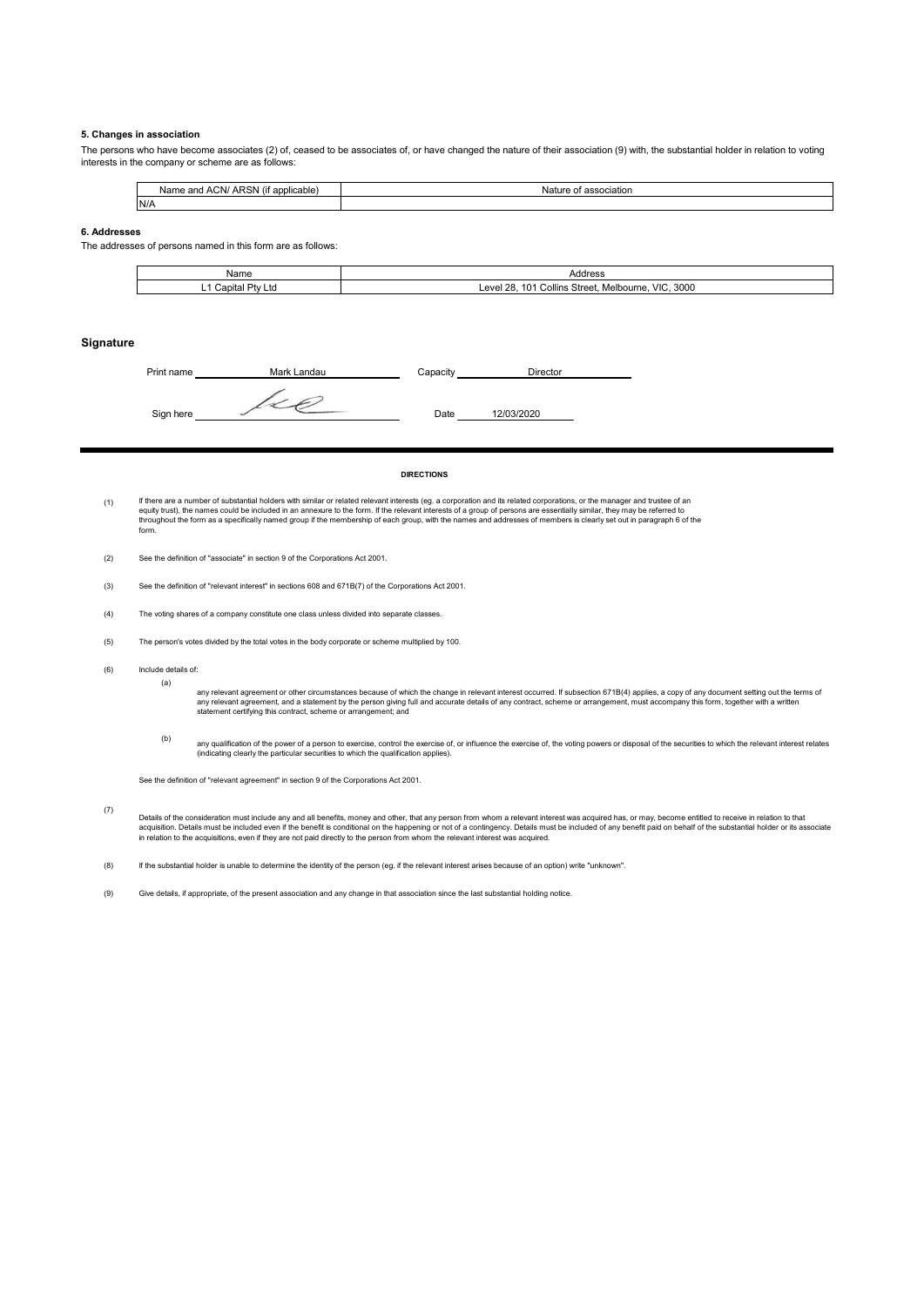#### **5. Changes in association**

The persons who have become associates (2) of, ceased to be associates of, or have changed the nature of their association (9) with, the substantial holder in relation to voting interests in the company or scheme are as follows:

|      | ARSN (if<br>. .<br>ACN/<br>Name<br>applicable<br>and | association<br>Nature of |
|------|------------------------------------------------------|--------------------------|
| IN/A |                                                      |                          |

#### **6. Addresses**

The addresses of persons named in this form are as follows:

| Nam∈                          | Address                                                                                                                          |
|-------------------------------|----------------------------------------------------------------------------------------------------------------------------------|
| onito<br>. .<br>va<br>∟w<br>- | <br>3000<br>Melbourne<br>$\overline{\phantom{a}}$<br>$\sim$<br>$\Delta$ $\cap$<br>Street.<br>$\sim$<br>Collins<br>,,,<br>w<br>.v |

#### **Signature**

| Print name | Mark Landau | Capacity | Director   |  |
|------------|-------------|----------|------------|--|
| Sign here  |             | Date     | 12/03/2020 |  |

#### **DIRECTIONS**

- (1) lf there are a number of substantial holders with similar or related relevant interests (eg. a corporation and its related corporations, or the manager and trustee of ar<br>equity trust), the names could be included in an ann throughout the form as a specifically named group if the membership of each group, with the names and addresses of members is clearly set out in paragraph 6 of the form.
- (2) See the definition of "associate" in section 9 of the Corporations Act 2001.
- (3) See the definition of "relevant interest" in sections 608 and 671B(7) of the Corporations Act 2001.
- (4) The voting shares of a company constitute one class unless divided into separate classes.
- (5) The person's votes divided by the total votes in the body corporate or scheme multiplied by 100.
- (6) Include details of:

(a)

any relevant agreement or other circumstances because of which the change in relevant interest occurred. If subsection 671B(4) applies, a copy of any document setting out the terms of<br>any relevant agreement, and a statemen

(b) any qualification of the power of a person to exercise, control the exercise of, or influence the exercise of, the voting powers or disposal of the securities to which the relevant interest relates<br>(indicating clearly the

See the definition of "relevant agreement" in section 9 of the Corporations Act 2001.

(7) Details of the consideration must include any and all benefits, money and other, that any person from whom a relevant interest was acquired has, or may, become entitled to receive in relation to that<br>acquistion. Details mu

(8) If the substantial holder is unable to determine the identity of the person (eg. if the relevant interest arises because of an option) write "unknown".

(9) Give details, if appropriate, of the present association and any change in that association since the last substantial holding notice.